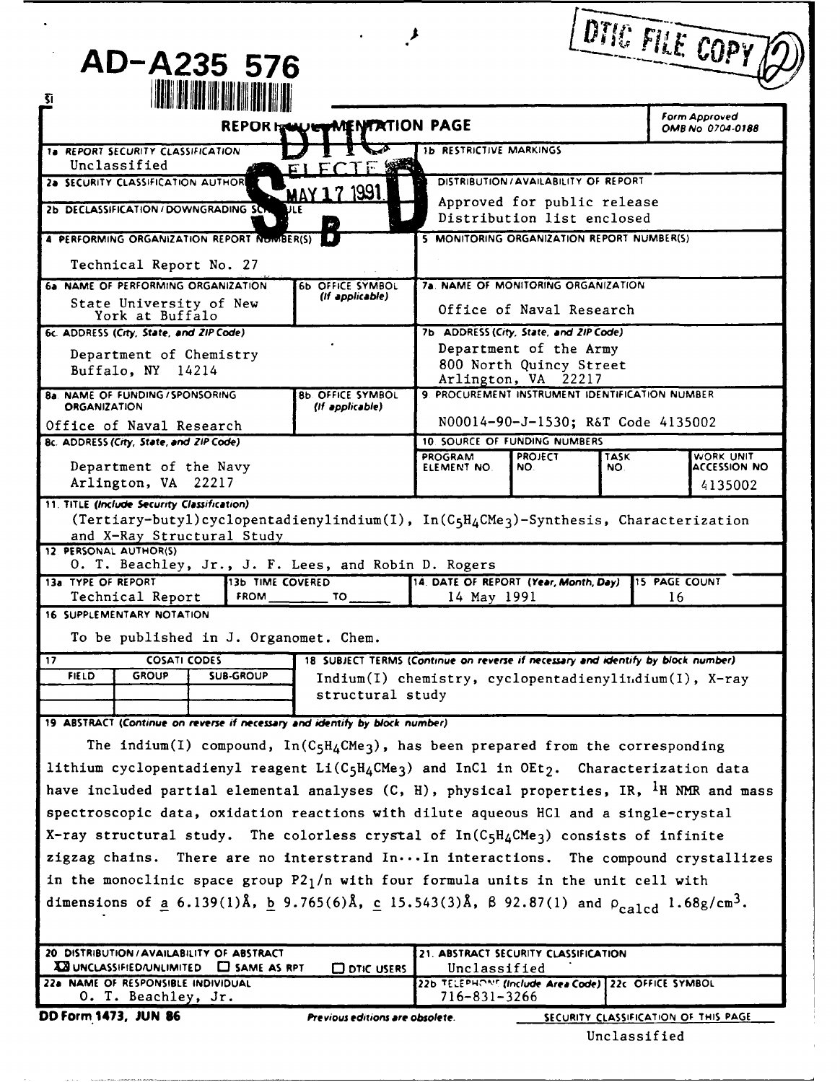|                                                                                                                                                                                                                                                      |                                                                                  |                                                                            |                                                                          |                    |                      | DTIC FILE COPY                              |
|------------------------------------------------------------------------------------------------------------------------------------------------------------------------------------------------------------------------------------------------------|----------------------------------------------------------------------------------|----------------------------------------------------------------------------|--------------------------------------------------------------------------|--------------------|----------------------|---------------------------------------------|
| AD-A235 576<br><b>THE HEATHER AND ALL AND AND REAL</b><br>3ī                                                                                                                                                                                         |                                                                                  |                                                                            |                                                                          |                    |                      |                                             |
|                                                                                                                                                                                                                                                      | REPORT WILL WATER NET ATTION PAGE                                                |                                                                            |                                                                          |                    |                      | Form Approved<br>OMB No 0704-0188           |
| <b>18 REPORT SECURITY CLASSIFICATION</b><br>Unclassified                                                                                                                                                                                             |                                                                                  | <b>1b RESTRICTIVE MARKINGS</b>                                             |                                                                          |                    |                      |                                             |
| 2a SECURITY CLASSIFICATION AUTHOR                                                                                                                                                                                                                    | 17 1991<br>MAY 1                                                                 |                                                                            | DISTRIBUTION / AVAILABILITY OF REPORT                                    |                    |                      |                                             |
| 2b. DECLASSIFICATION / DOWNGRADING SCH<br>ULE                                                                                                                                                                                                        |                                                                                  |                                                                            | Approved for public release<br>Distribution list enclosed                |                    |                      |                                             |
| 4 PERFORMING ORGANIZATION REPORT NOWBER(S)                                                                                                                                                                                                           |                                                                                  | 5 MONITORING ORGANIZATION REPORT NUMBER(S)                                 |                                                                          |                    |                      |                                             |
| Technical Report No. 27                                                                                                                                                                                                                              |                                                                                  |                                                                            |                                                                          |                    |                      |                                             |
| 6a NAME OF PERFORMING ORGANIZATION<br>State University of New<br>York at Buffalo                                                                                                                                                                     | 6b OFFICE SYMBOL<br>(If applicable)                                              | 7a. NAME OF MONITORING ORGANIZATION                                        | Office of Naval Research                                                 |                    |                      |                                             |
| 6c. ADDRESS (City, State, and ZIP Code)                                                                                                                                                                                                              |                                                                                  | 7b ADDRESS (City, State, and ZIP Code)                                     |                                                                          |                    |                      |                                             |
| Department of Chemistry<br>Buffalo, NY 14214                                                                                                                                                                                                         |                                                                                  |                                                                            | Department of the Army<br>800 North Quincy Street<br>Arlington, VA 22217 |                    |                      |                                             |
| <b>8a. NAME OF FUNDING / SPONSORING</b><br><b>ORGANIZATION</b>                                                                                                                                                                                       | <b>8b. OFFICE SYMBOL</b><br>(If applicable)                                      | 9. PROCUREMENT INSTRUMENT IDENTIFICATION NUMBER                            |                                                                          |                    |                      |                                             |
| Office of Naval Research<br>Bc. ADDRESS (City, State, and ZIP Code)                                                                                                                                                                                  |                                                                                  | N00014-90-J-1530; R&T Code 4135002<br><b>10. SOURCE OF FUNDING NUMBERS</b> |                                                                          |                    |                      |                                             |
| Department of the Navy<br>Arlington, VA 22217                                                                                                                                                                                                        |                                                                                  | PROGRAM<br>ELEMENT NO.                                                     | <b>PROJECT</b><br>NO.                                                    | <b>TASK</b><br>NO. |                      | WORK UNIT<br><b>ACCESSION NO</b><br>4135002 |
| (Tertiary-butyl)cyclopentadienylindium(I), In(C5H4CMe3)-Synthesis, Characterization<br>and X-Ray Structural Study<br>12 PERSONAL AUTHOR(S)<br>O. T. Beachley, Jr., J. F. Lees, and Robin D. Rogers<br>13a. TYPE OF REPORT<br><b>13b TIME COVERED</b> |                                                                                  | 14. DATE OF REPORT (Year, Month, Day)                                      |                                                                          |                    | <b>15 PAGE COUNT</b> |                                             |
| <b>FROM</b><br>Technical Report                                                                                                                                                                                                                      | TO                                                                               | 14 May 1991                                                                |                                                                          |                    | 16                   |                                             |
| 16 SUPPLEMENTARY NOTATION                                                                                                                                                                                                                            |                                                                                  |                                                                            |                                                                          |                    |                      |                                             |
| To be published in J. Organomet. Chem.<br><b>COSATI CODES</b>                                                                                                                                                                                        | 18 SUBJECT TERMS (Continue on reverse if necessary and identify by block number) |                                                                            |                                                                          |                    |                      |                                             |
| 17<br><b>SUB-GROUP</b><br><b>FIELD</b><br><b>GROUP</b>                                                                                                                                                                                               | Indium(I) chemistry, cyclopentadienylindium(I), X-ray                            |                                                                            |                                                                          |                    |                      |                                             |
|                                                                                                                                                                                                                                                      | structural study                                                                 |                                                                            |                                                                          |                    |                      |                                             |
| 19 ABSTRACT (Continue on reverse if necessary and identify by block number)                                                                                                                                                                          |                                                                                  |                                                                            |                                                                          |                    |                      |                                             |
| The indium(I) compound, $In(C5H4CMe3)$ , has been prepared from the corresponding                                                                                                                                                                    |                                                                                  |                                                                            |                                                                          |                    |                      |                                             |
| lithium cyclopentadienyl reagent Li( $C_5H_4CMe_3$ ) and InCl in OEt <sub>2</sub> . Characterization data                                                                                                                                            |                                                                                  |                                                                            |                                                                          |                    |                      |                                             |
| have included partial elemental analyses $(C, H)$ , physical properties, IR, <sup>1</sup> H NMR and mass                                                                                                                                             |                                                                                  |                                                                            |                                                                          |                    |                      |                                             |
| spectroscopic data, oxidation reactions with dilute aqueous HCl and a single-crystal<br>X-ray structural study. The colorless crystal of $In(C5H4CMe3)$ consists of infinite                                                                         |                                                                                  |                                                                            |                                                                          |                    |                      |                                             |
| zigzag chains. There are no interstrand $InIn$ interactions. The compound crystallizes                                                                                                                                                               |                                                                                  |                                                                            |                                                                          |                    |                      |                                             |
| in the monoclinic space group $P2_1/n$ with four formula units in the unit cell with                                                                                                                                                                 |                                                                                  |                                                                            |                                                                          |                    |                      |                                             |
| dimensions of <u>a</u> 6.139(1)Å, <b>b</b> 9.765(6)Å, <b>c</b> 15.543(3)Å, $\beta$ 92.87(1) and $\rho_{calcd}$ 1.68g/cm <sup>3</sup> .                                                                                                               |                                                                                  |                                                                            |                                                                          |                    |                      |                                             |
| 20. DISTRIBUTION / AVAILABILITY OF ABSTRACT                                                                                                                                                                                                          |                                                                                  | 21. ABSTRACT SECURITY CLASSIFICATION                                       |                                                                          |                    |                      |                                             |
| <b>AN UNCLASSIFIED/UNLIMITED CO</b> SAME AS RPT<br>22a NAME OF RESPONSIBLE INDIVIDUAL                                                                                                                                                                | <b>CO DTIC USERS</b>                                                             | Unclassified<br>22b TELEPHONT (Include Area Code) 22c OFFICE SYMBOL        |                                                                          |                    |                      |                                             |
| O. T. Beachley, Jr.                                                                                                                                                                                                                                  |                                                                                  | 716-831-3266                                                               |                                                                          |                    |                      |                                             |
| DD Form 1473, JUN 86                                                                                                                                                                                                                                 | Previous editions are obsolete.                                                  |                                                                            |                                                                          |                    | Unclassified         | SECURITY CLASSIFICATION OF THIS PAGE        |

|  | Unclassifi |  |  |
|--|------------|--|--|
|--|------------|--|--|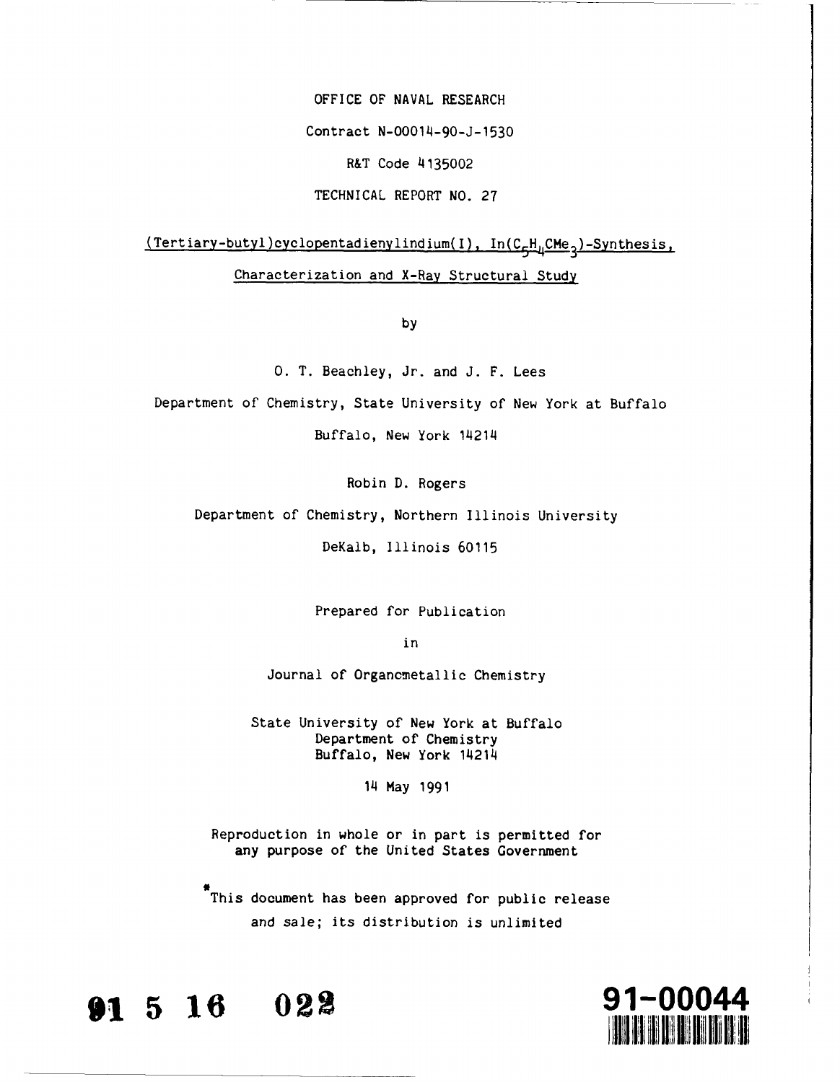OFFICE OF NAVAL RESEARCH Contract N-OOO14-90-J-1530 R&T Code 4135002

 $(Tertiary-buty1) cyclopentadienylindium(1), In(C_cH<sub>µ</sub>CMe<sub>3</sub>)-Synthesis,$ Characterization and X-Ray Structural Study

TECHNICAL REPORT NO. 27

by

**0.** T. Beachley, Jr. and J. F. Lees

Department of Chemistry, State University of New York at Buffalo

Buffalo, New York 14214

Robin D. Rogers

Department of Chemistry, Northern Illinois University

DeKalb, Illinois 60115

Prepared for Publication

in

Journal of Organometallic Chemistry

State University of New York at Buffalo Department of Chemistry Buffalo, New York 14214

14 May 1991

Reproduction in whole or in part is permitted for any purpose of the United States Government

This document has been approved for public release and sale; its distribution is unlimited



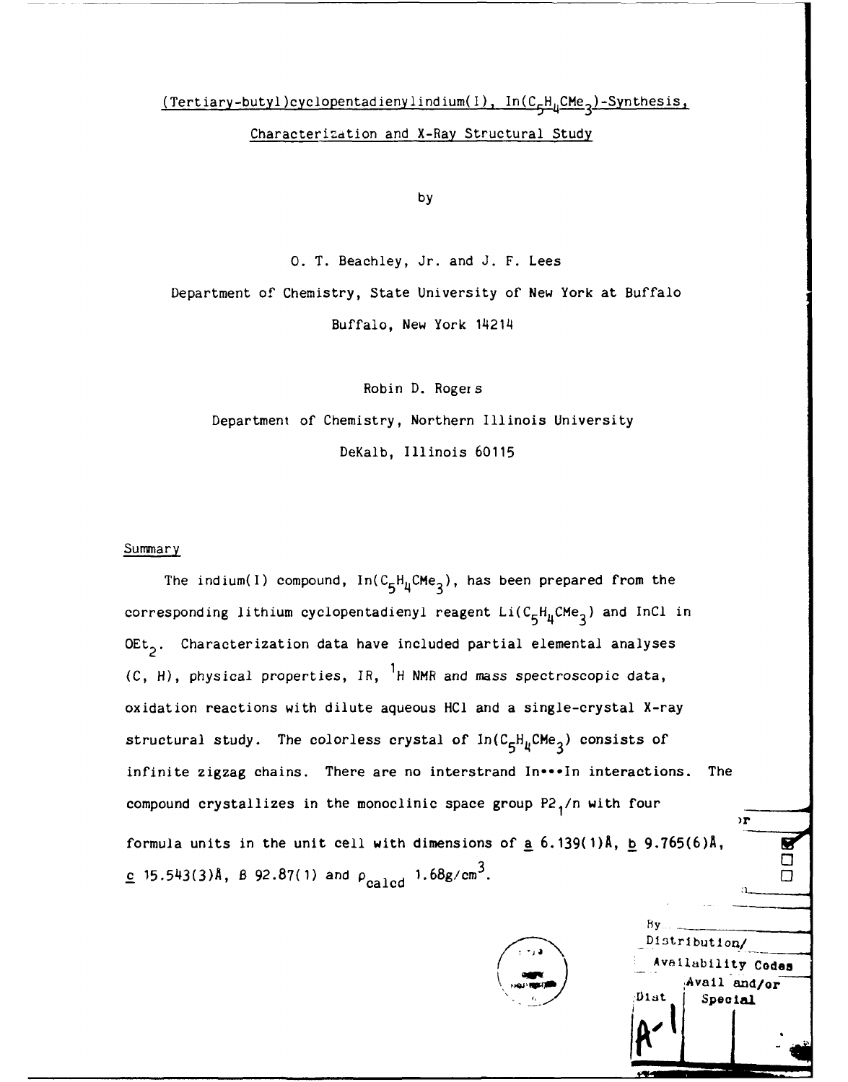(Tertiary-butyl)cyclopentadienylindium(I),  $In(C<sub>g</sub>H<sub>u</sub>CMe<sub>3</sub>)$ -Synthesis,

Characterization and X-Ray Structural Study

by

**0.** T. Beachley, Jr. and J. F. Lees Department of Chemistry, State University of New York at Buffalo Buffalo, New York 14214

Robin D. Rogers Department of Chemistry, Northern Illinois University DeKalb, Illinois 60115

## **Summary**

The indium(I) compound,  $In(C_5H_\mu CMe_3)$ , has been prepared from the corresponding lithium cyclopentadienyl reagent  $Li(C_5H_\mu$ CMe<sub>3</sub>) and InCl in  $\texttt{OEt}_{2}$ . Characterization data have included partial elemental analyses (C, H), physical properties, IR, **1H** NMR and mass spectroscopic data, oxidation reactions with dilute aqueous **HCI** and a single-crystal X-ray structural study. The colorless crystal of  $In(C<sub>5</sub>H<sub>µ</sub>CMe<sub>3</sub>)$  consists of infinite zigzag chains. There are no interstrand In...In interactions. The compound crystallizes in the monoclinic space group  $P2<sub>1</sub>/n$  with four  $\mathbf{r}$ formula units in the unit cell with dimensions of  $\underline{a}$  6.139(1)Å,  $\underline{b}$  9.765(6)Å,  $c$  15.543(3)Å, B 92.87(1) and  $\rho_{\rm{calcd}}$  1.68g/cm<sup>3</sup>. **3 5l**

| đ<br>ı        |
|---------------|
|               |
| rigu)<br>نقور |
|               |
|               |

Distrlbutlon/ Distribution/

Availability Codes

5

Special

Avail and/or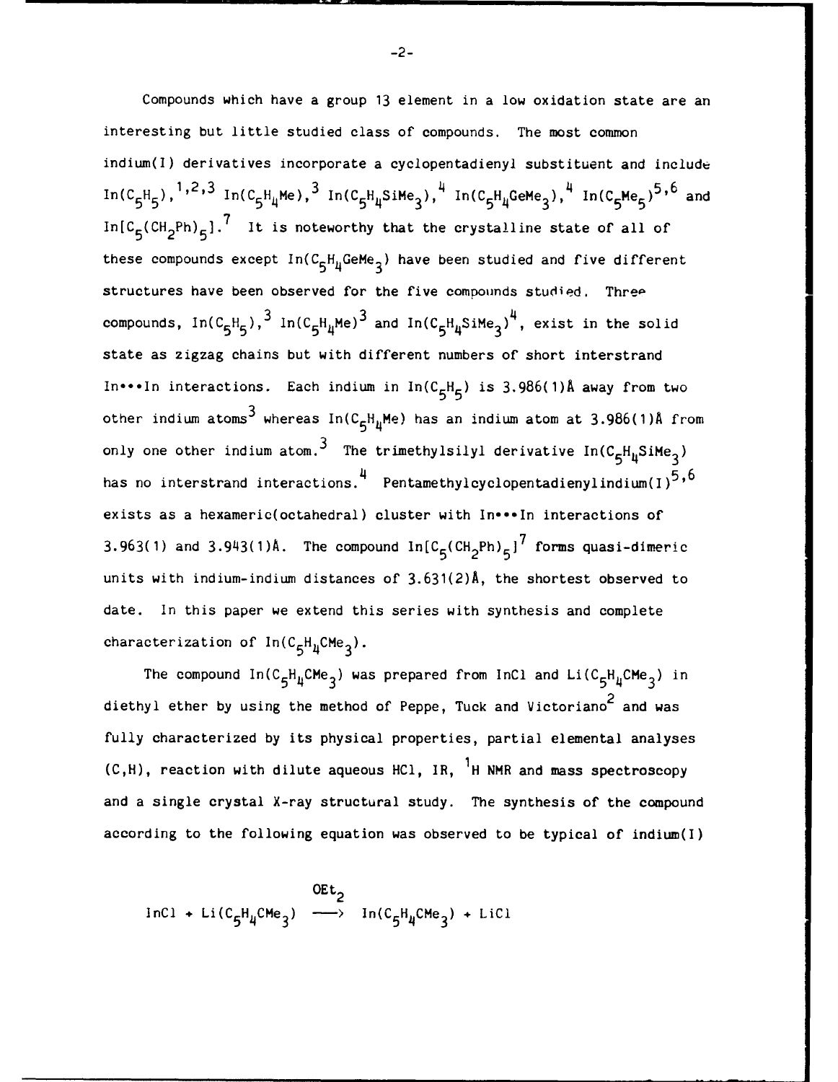Compounds which have a group 13 element in a low oxidation state are an interesting but little studied class of compounds. The most common indium(I) derivatives incorporate a cyclopentadienyl substituent and include  $\ln(c_5 H_5)$ ,<sup>1</sup>,<sup>2</sup>,3  $\ln(c_5 H_4$ Me),  $3 \ln(c_5 H_4 S$ iMe<sub>3</sub>),  $4 \ln(c_5 H_4 G$ eMe<sub>3</sub>),  $4 \ln(c_5 M e_5)^{5.6}$  and  $In [C_5 (CH_2<sup>Ph</sup>)_5].$ <sup>7</sup> It is noteworthy that the crystalline state of all of these compounds except  $In(C_5H_\mu\text{GeMe}_3)$  have been studied and five different structures have been observed for the five compounds studied. Three compounds,  $In(C_5H_5)$ ,  $3 In(C_5H_4$ Me)<sup>3</sup> and  $In(C_5H_4S$ iMe<sub>3</sub>)<sup>4</sup>, exist in the solid state as zigzag chains but with different numbers of short interstrand In\*\*\*In interactions. Each indium in  $In(C_5H_5)$  is 3.986(1)Å away from two other indium atoms<sup>3</sup> whereas In( $C_5H_4$ Me) has an indium atom at 3.986(1)Å from only one other indium atom.<sup>3</sup> The trimethylsilyl derivative  $\text{In}(\text{C}_5 \text{H}_4 \text{S}$ iMe<sub>3</sub>) has no interstrand interactions. <sup>4</sup> Pentamethylcyclopentadienylindium(I)<sup>5,6</sup> exists as a hexameric(octahedral) cluster with In...In interactions of 3.963(1) and 3.943(1)A. The compound  $In[C_5 (CH_2 Ph)_5]^7$  forms quasi-dimeric units with indium-indium distances of  $3.631(2)$ Å, the shortest observed to date. In this paper we extend this series with synthesis and complete characterization of  $In(C<sub>5</sub>H<sub>4</sub>CMe<sub>3</sub>)$ .

The compound  $In(C_5 H_{\mu}CMe_3)$  was prepared from InCl and  $Li(C_5 H_{\mu}CMe_3)$  in diethyl ether by using the method of Peppe, Tuck and Victoriano<sup>2</sup> and was fully characterized by its physical properties, partial elemental analyses  $(C,H)$ , reaction with dilute aqueous HC1, IR, <sup>1</sup>H NMR and mass spectroscopy and a single crystal X-ray structural study. The synthesis of the compound according to the following equation was observed to be typical of indium(I)

$$
0Et2
$$
  
lnCl + Li(C<sub>5</sub>H<sub>4</sub>CMe<sub>3</sub>)  $\longrightarrow$  ln(C<sub>5</sub>H<sub>4</sub>CMe<sub>3</sub>) + LiCl

-2-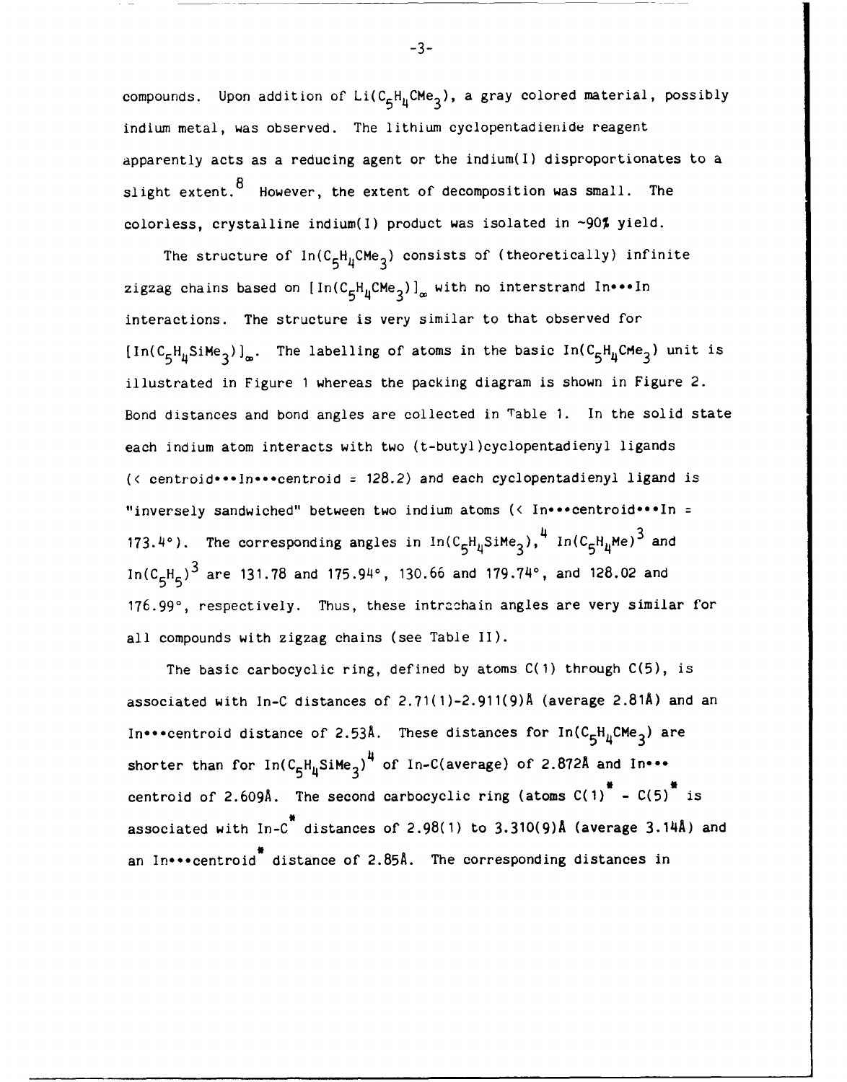compounds. Upon addition of  $Li(C_5H_4CMe_3)$ , a gray colored material, possibly indium metal, was observed. The lithium cyclopentadienide reagent apparently acts as a reducing agent or the indium(I) disproportionates to a **8** slight extent. $\check{\phantom{\phi}}$  However, the extent of decomposition was small. The colorless, crystalline indium(1) product was isolated in  $\sim 90\%$  yield.

The structure of  $In(C_5 H_{\mu} CMe_3)$  consists of (theoretically) infinite zigzag chains based on  $[\ln(C_5 H_4 CMe_3)]_{\infty}$  with no interstrand In\*\*\*In interactions. The structure is very similar to that observed for  $[In(C_5 H_{\mu} SiMe_3)]_{\infty}$ . The labelling of atoms in the basic  $In(C_5 H_{\mu} CMe_3)$  unit is illustrated in Figure 1 whereas the packing diagram is shown in Figure 2. Bond distances and bond angles are collected in Table **1.** In the solid state each indium atom interacts with two (t-butyl)cyclopentadienyl ligands **(<** centroid--In.-.centroid **=** 128.2) and each cyclopentadienyl ligand is "inversely sandwiched" between two indium atoms (< In ... centroid...In = 173.4°). The corresponding angles in  $In(C_5H_4SiMe_3)$ ,  $4 In(C_5H_4Me)^3$  and In( $C_5H_5$ )<sup>3</sup> are 131.78 and 175.94°, 130.66 and 179.74°, and 128.02 and 176.99°, respectively. Thus, these intrachain angles are very similar for all compounds with zigzag chains (see Table II).

The basic carbocyclic ring, defined by atoms  $C(1)$  through  $C(5)$ , is associated with In-C distances of  $2.71(1)-2.911(9)$ Å (average  $2.81$ Å) and an In••• centroid distance of 2.53Å. These distances for  $In(C_5H_4CMe_3)$  are shorter than for  $In(C_5H_4Sim_{\epsilon_3})^{\frac{1}{4}}$  of  $In-C(average)$  of 2.872Å and  $In***$ **I \*** centroid of 2.609A. The second carbocyclic ring (atoms **C(1)** - **C(5)** is **\*** associated with  $In-C^*$  distances of 2.98(1) to 3.310(9)Å (average 3.14Å) and an In•••centroid<sup>\*</sup> distance of 2.85Å. The corresponding distances in

-3-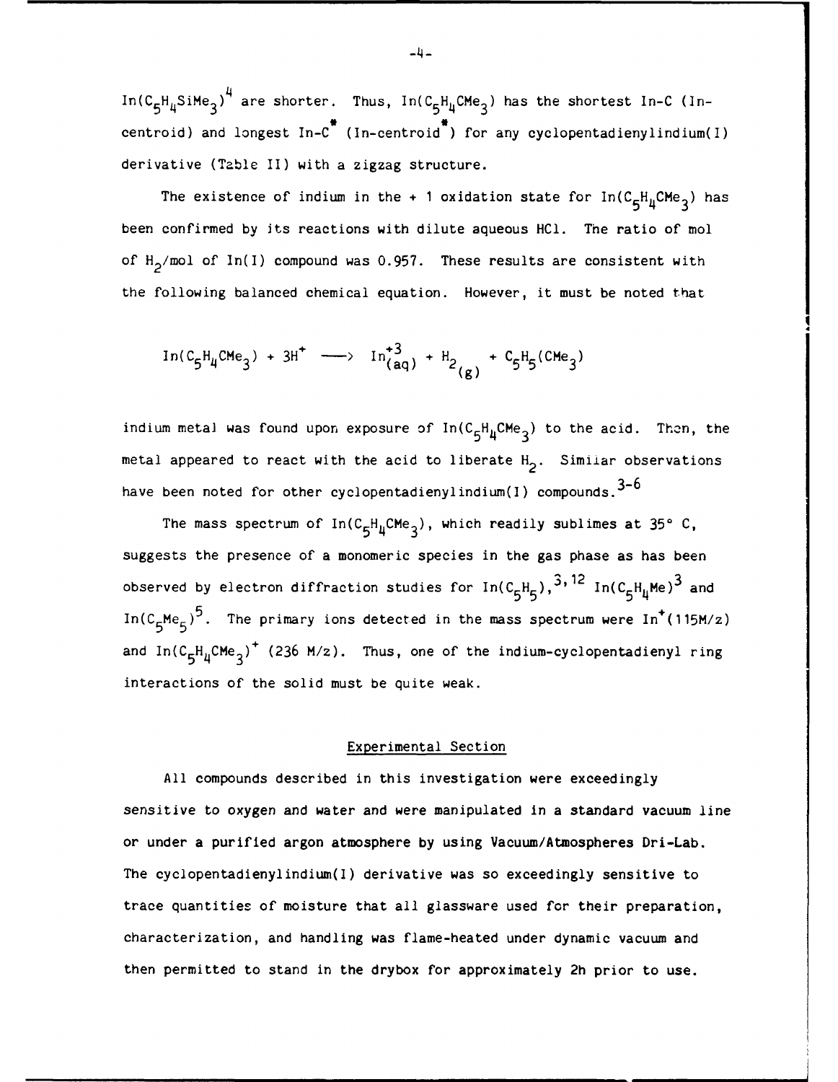$In(C_5H_4Sime_3)^4$  are shorter. Thus,  $In(C_5H_4CMe_3)$  has the shortest In-C (In-\* \* centroid) and longest In-C (In-centroid) for any cyclopentadienylindium(I) derivative (Table II) with a zigzag structure.

The existence of indium in the + 1 oxidation state for  $In(C<sub>5</sub>H<sub>1</sub>CMe<sub>3</sub>)$  has been confirmed by its reactions with dilute aqueous HCl. The ratio of mol of  $H_2$ /mol of In(I) compound was 0.957. These results are consistent with the following balanced chemical equation. However, it must be noted that

$$
\ln(c_5 H_4 C Me_3) + 3H^+ \longrightarrow \ln_{(aq)}^{+3} + H_{(g)} + C_5 H_5 (C Me_3)
$$

indium metal was found upon exposure of  $In(C_6H_4CMe_3)$  to the acid. Then, the metal appeared to react with the acid to liberate  $H_2$ . Similar observations have been noted for other cyclopentadienylindium(I) compounds.  $3-6$ 

The mass spectrum of  $In(C<sub>5</sub>H<sub>µ</sub>CMe<sub>3</sub>)$ , which readily sublimes at 35° C, suggests the presence of a monomeric species in the gas phase as has been observed by electron diffraction studies for  $In(C_5H_5)$ ,  $3, 12$   $In(C_5H_4$ Me)<sup>3</sup> and In(C<sub>c</sub>Me<sub>c</sub>)<sup>5</sup>. The primary ions detected in the mass spectrum were In<sup>+</sup>(115M/z) and  $In(C_5H_4CMe_3)^+$  (236 M/z). Thus, one of the indium-cyclopentadienyl ring interactions of the solid must be quite weak.

### Experimental Section

All compounds described in this investigation were exceedingly sensitive to oxygen and water and were manipulated in a standard vacuum line or under a purified argon atmosphere **by** using Vacuum/Atmospheres Dri-Lab. The cyclopentadienylindium(l) derivative was so exceedingly sensitive to trace quantities of moisture that all glassware used for their preparation, characterization, and handling was flame-heated under dynamic vacuum and then permitted to stand in the drybox for approximately 2h prior to use.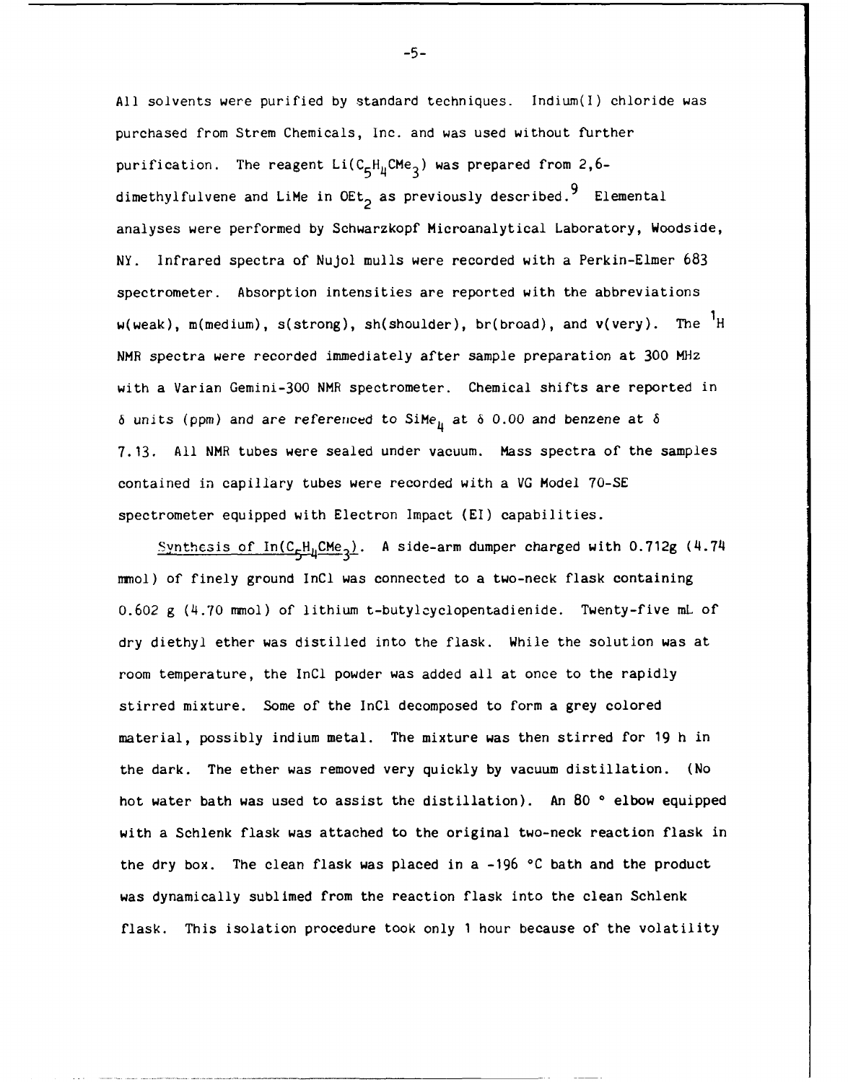**All** solvents were purified **by** standard techniques. Indium(l) chloride was purchased from Strem Chemicals, Inc. and was used without further purification. The reagent  $Li(C<sub>5</sub>H<sub>μ</sub>CMe<sub>3</sub>)$  was prepared from 2,6- $\overline{Q}$ dimethylfulvene and LiMe in OEt<sub>2</sub> as previously described.' Elemental analyses were performed by Schwarzkopf Microanalytical Laboratory, Woodside, NY. Infrared spectra of Nujol mulls were recorded with a Perkin-Elmer 683 spectrometer. Absorption intensities are reported with the abbreviations  $w(weak)$ , m(medium), s(strong), sh(shoulder), br(broad), and  $v(wery)$ . The  $H$ NMR spectra were recorded immediately after sample preparation at 300 MHz with a Varian Gemini-300 NMR spectrometer. Chemical shifts are reported in  $\delta$  units (ppm) and are referenced to SiMe<sub>1</sub> at  $\delta$  0.00 and benzene at  $\delta$ 7.13. All NMR tubes were sealed under vacuum. Mass spectra of the samples contained in capillary tubes were recorded with a VG Model 70-SE spectrometer equipped with Electron Impact (El) capabilities.

Synthesis of  $In(C<sub>5</sub>H<sub>4</sub>CMe<sub>3</sub>)$ . A side-arm dumper charged with 0.712g (4.74) nmmol) of finely ground InCl was connected to a two-neck flask containing 0.602 g (4.70 mmol) of lithium t-butylcyclopentadienide. Twenty-five mL of dry diethyl ether was distilled into the flask. While the solution was at room temperature, the InCl powder was added all at once to the rapidly stirred mixture. Some of the InCl decomposed to form a grey colored material, possibly indium metal. The mixture was then stirred for 19 h in the dark. The ether was removed very quickly by vacuum distillation. (No hot water bath was used to assist the distillation). An 80 **0** elbow equipped with a Schlenk flask was attached to the original two-neck reaction flask in the dry box. The clean flask was placed in a -196 °C bath and the product was dynamically sublimed from the reaction flask into the clean Schlenk flask. This isolation procedure took only **1** hour because of the volatility

**-5-**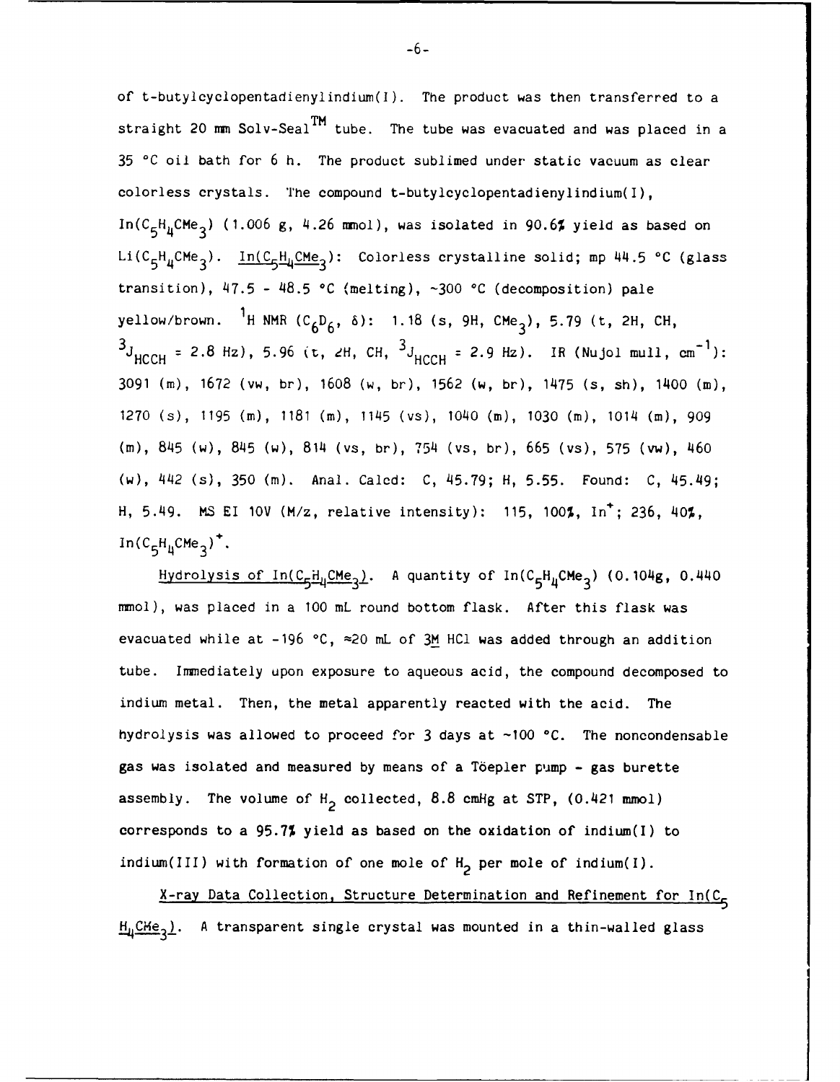of t-butylcyclopentadienylindium(I). The product was then transferred to a straight 20  $mm$  Solv-Seal<sup>TM</sup> tube. The tube was evacuated and was placed in a 35 **'C** oil bath for 6 h. The product sublimed under static vacuum as clear colorless crystals. The compound t-butylcyclopentadienylindium(I), In( $C_5H_1$ CMe<sub>3</sub>) (1.006 g, 4.26 mmol), was isolated in 90.6% yield as based on  $Li(C_5H_4CMe_3)$ .  $In(C_5H_4CMe_3)$ : Colorless crystalline solid; mp 44.5 °C (glass transition), 47.5 - 48.5 0C (melting), -300 **\*C** (decomposition) pale yellow/brown. <sup>1</sup>H NMR (C<sub>6</sub>D<sub>6</sub>,  $\delta$ ): 1.18 (s, 9H, CMe<sub>3</sub>), 5.79 (t, 2H, CH,  $3J_{\text{HICH}}$  = 2.8 Hz), 5.96 (t,  $2H$ , CH,  $3J_{\text{HICH}}$  = 2.9 Hz). IR (Nujol mull, cm<sup>-1</sup>): 3091 (m), 1672 (vw, br), 1608 (w, br), 1562 (w, br), 1475 (s, sh), 1400 (m), 1270 (s), 1195 (m), 1181 (m), 1145 (vs), 1040 (m), 1030 (m), 1014 (m), 909 (m), 845 (w), 845 (w), 814 (vs, br), 754 (vs, br), 665 (vs), 575 (vw), 460 (w), 442 (s), 350 (m). Anal. Calcd: C, 45.79; H, 5.55. Found: C, 45.49; H, 5.49. MS EI 10V (M/z, relative intensity): 115, 100%,  $In^{+}$ ; 236, 40%,  $In(C_5H_hCMe_3)$ <sup>+</sup>.

Hydrolysis of  $In(C_5H_4CMe_3)$ . A quantity of  $In(C_5H_4CMe_3)$  (0.104g, 0.440 mmol), was placed in a 100 mL round bottom flask. After this flask was evacuated while at  $-196$  °C,  $\approx$ 20 mL of 3M HC1 was added through an addition tube. Immediately upon exposure to aqueous acid, the compound decomposed to indium metal. Then, the metal apparently reacted with the acid. The hydrolysis was allowed to proceed for 3 days at -100 **\*C.** The noncondensable gas was isolated and measured by means of a Toepler pump - gas burette assembly. The volume of  $H<sub>2</sub>$  collected, 8.8 cmHg at STP, (0.421 mmol) corresponds to a  $95.7%$  yield as based on the oxidation of indium(I) to indium(III) with formation of one mole of  $H_2$  per mole of indium(I).

X-ray Data Collection, Structure Determination and Refinement for In(C<sub>c</sub>  $H_{\mu}$ CHe<sub>3</sub>). A transparent single crystal was mounted in a thin-walled glass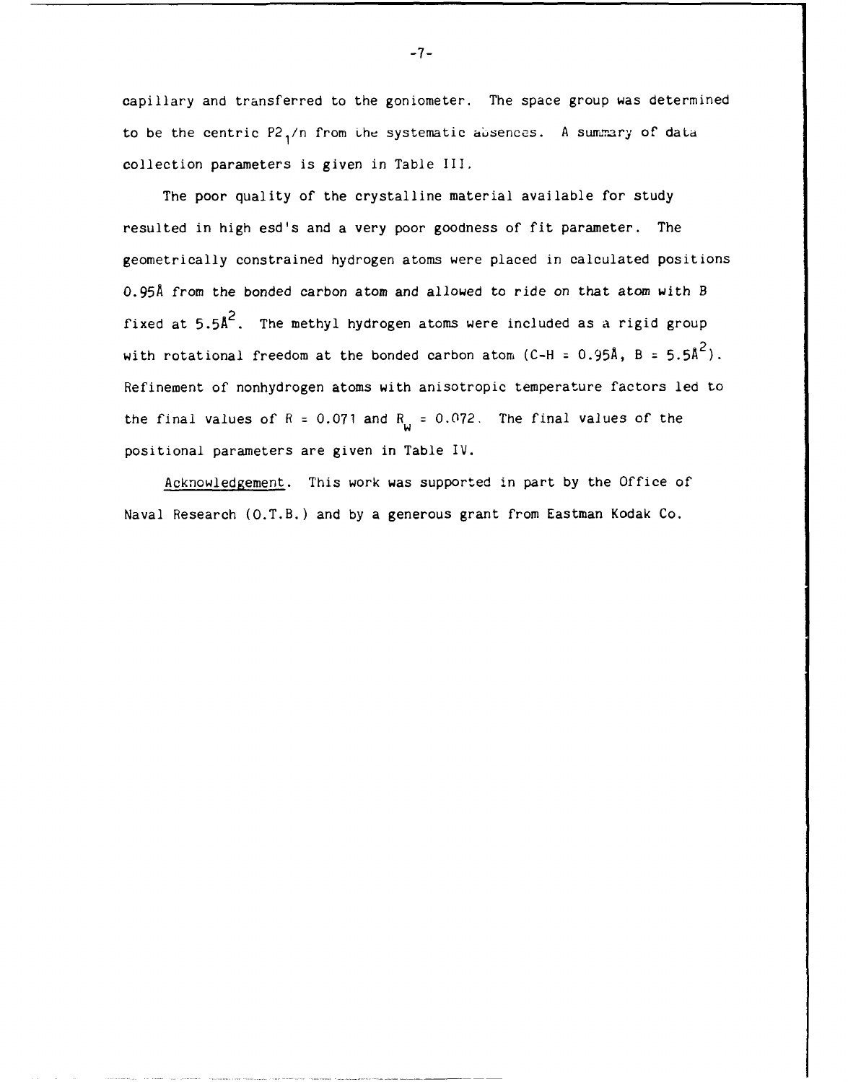capillary and transferred to the goniometer. The space group was determined to be the centric P2<sub>1</sub>/n from the systematic absences. A summary of data collection parameters is given in Table II.

The poor quality of the crystalline material available for study resulted in high esd's and a very poor goodness of fit parameter. The geometrically constrained hydrogen atoms were placed in calculated positions **0.95A** from the bonded carbon atom and allowed to ride on that atom with B fixed at  $5.5\text{\AA}^2$ . The methyl hydrogen atoms were included as a rigid group with rotational freedom at the bonded carbon atom (C-H =  $0.95\text{\AA}$ , B =  $5.5\text{\AA}^2$ ). Refinement of nonhydrogen atoms with anisotropic temperature factors led to the final values of  $R = 0.071$  and  $R_1 = 0.072$ . The final values of the positional parameters are given in Table IV.

Acknowledgement. This work was supported in part by the Office of Naval Research (O.T.B.) and by a generous grant from Eastman Kodak Co.

**-7-**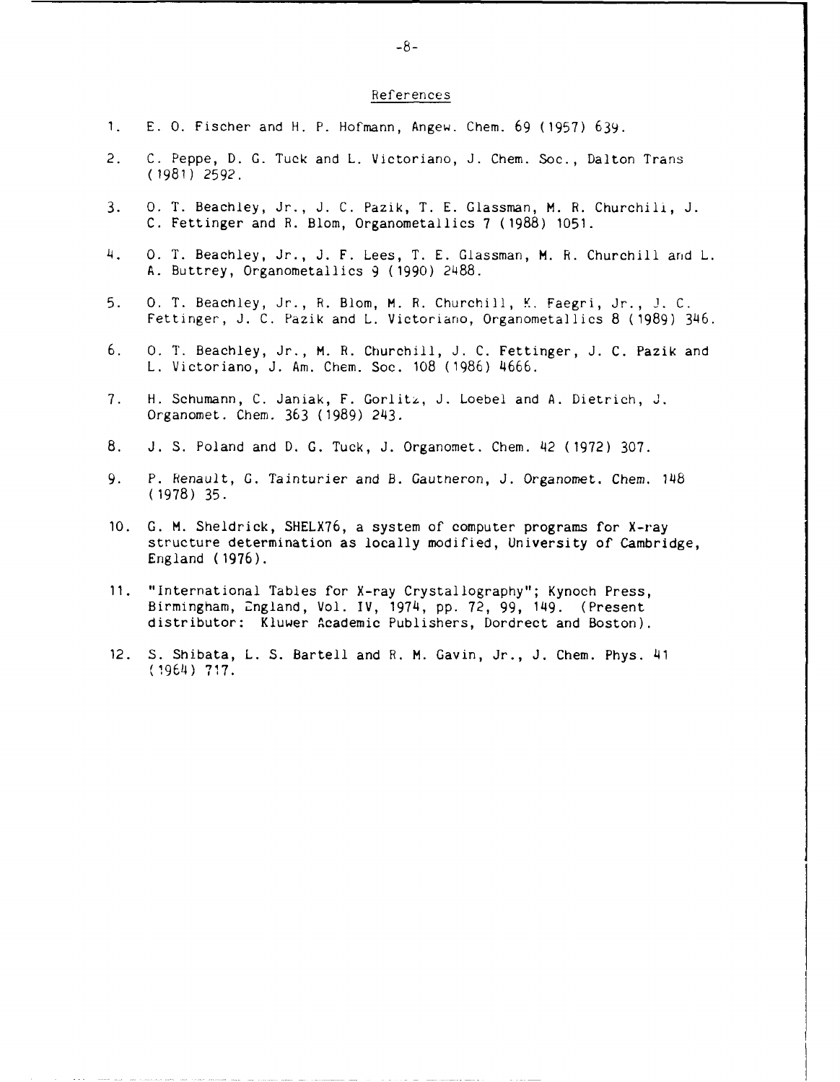#### References

- I. E. **0.** Fischer and H. P. Hofmann, Angew. Chem. 69 (1957) 639.
- 2. C. Peppe, D. G. Tuck and L. Victoriano, J. Chem. Soc., Dalton Trans (1981) 2592.
- 3. **0.** T. Beachley, Jr., J. C. Pazik, T. E. Glassman, M. R. Churchill, J. C. Fettinger and R. Blom, Organometallics 7 (1988) 1051.
- 4. **0.** T. Beachley, Jr., J. F. Lees, T. E. Glassman, M. R. Churchill and L. A. Buttrey, Organometallics 9 (1990) 2488.
- 5. **0.** T. Beacnley, Jr., **R.** Blom, M. **R.** Churchill, K. Faegri, Jr., J. C. Fettinger, J. C. Pazik and L. Victoriano, Organometallics 8 (1989) 346.
- 6. **0.** T. Beachley, Jr., M. R. Churchill, J. C. Fettinger, J. C. Pazik and L. Victoriano, J. Am. Chem. Soc. 108 (1986) 4666.
- 7. H. Schumann, C. Janiak, F. Gorlitz, J. Loebel and A. Dietrich, J. Organomet. Chem. 363 (1989) 243.
- 8. J. S. Poland and D. G. Tuck, J. Organomet. Chem. 42 (1972) 307.
- 9. P. Renault, G. Tainturier and B. Gautneron, J. Organomet. Chem. 148 (1978) 35.
- 10. G. M. Sheldrick, SHELX76, a system of computer programs for X-ray structure determination as locally modified, University of Cambridge, England (1976).
- 11. "International Tables for X-ray Crystallography"; Kynoch Press, Birmingham, Zngland, Vol. IV, 1974, pp. 72, 99, 149. (Present distributor: Kluwer Academic Publishers, Dordrect and Boston).
- 12. **S.** Shibata, L. S. Bartell and R. M. Gavin, Jr., J. Chem. Phys. 41 (1964) 717.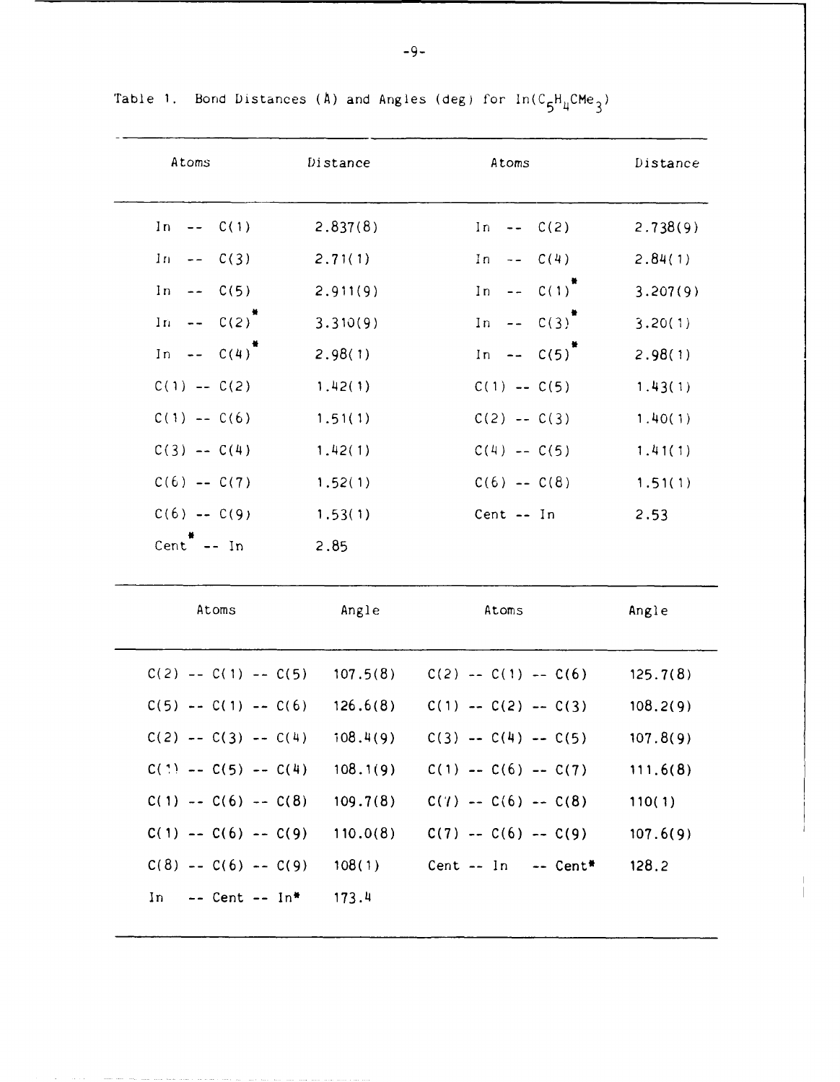| Atoms                          | Distance | Atoms                                                                   | Distance |
|--------------------------------|----------|-------------------------------------------------------------------------|----------|
| $-- C(1)$<br>In                | 2.837(8) | In<br>C(2)<br>$\sim$ $\sim$                                             | 2.738(9) |
| C(3)<br>In<br>$- -$            | 2.71(1)  | C(4)<br>In<br>$\sim 10^{-10}$                                           | 2.84(1)  |
| C(5)<br>$\rightarrow$<br>$\ln$ | 2.911(9) | $--- C(1)$<br>In                                                        | 3.207(9) |
| C(2)<br>$In - -$               | 3.310(9) | $- - C(3)^{T}$<br>In                                                    | 3.20(1)  |
| In $- - C(4)$                  | 2.98(1)  | In $- - C(5)^{2}$                                                       | 2.98(1)  |
| $C(1)$ -- $C(2)$               | 1.42(1)  | $C(1)$ -- $C(5)$                                                        | 1.43(1)  |
| $C(1)$ -- $C(6)$               | 1.51(1)  | $C(2)$ -- $C(3)$                                                        | 1.40(1)  |
| $C(3)$ -- $C(4)$               | 1.42(1)  | $C(4)$ -- $C(5)$                                                        | 1.41(1)  |
| $C(6)$ -- $C(7)$               | 1.52(1)  | $C(6)$ -- $C(8)$                                                        | 1.51(1)  |
| $C(6)$ -- $C(9)$               | 1.53(1)  | Cent -- In                                                              | 2.53     |
| $Cent$ -- In                   | 2.85     |                                                                         |          |
| Atoms                          | Angle    | Atoms                                                                   | Angle    |
| $C(2)$ -- $C(1)$ -- $C(5)$     |          | $107.5(8)$ $C(2)$ -- $C(1)$ -- $C(6)$                                   | 125.7(8) |
| $C(5)$ -- $C(1)$ -- $C(6)$     | 126.6(8) | $C(1)$ -- $C(2)$ -- $C(3)$                                              | 108.2(9) |
| $C(2)$ -- $C(3)$ -- $C(4)$     | 108.4(9) | $C(3)$ -- $C(4)$ -- $C(5)$                                              | 107.8(9) |
|                                |          | $C(1)$ -- $C(5)$ -- $C(4)$ 108.1(9) $C(1)$ -- $C(6)$ -- $C(7)$ 111.6(8) |          |
|                                |          | $C(1)$ -- $C(6)$ -- $C(8)$ 109.7(8) $C(7)$ -- $C(6)$ -- $C(8)$          | 110(1)   |
|                                |          | $C(1)$ -- $C(6)$ -- $C(9)$ 110.0(8) $C(7)$ -- $C(6)$ -- $C(9)$          | 107.6(9) |
|                                |          | $C(8)$ -- $C(6)$ -- $C(9)$ 108(1) Cent -- In -- Cent <sup>*</sup> 128.2 |          |
| $--$ Cent $--$ In* 173.4<br>In |          |                                                                         |          |

Table 1. Bond Distances (A) and Angles (deg) for  $\text{In}(C_5H_\mu\text{CMe}_3)$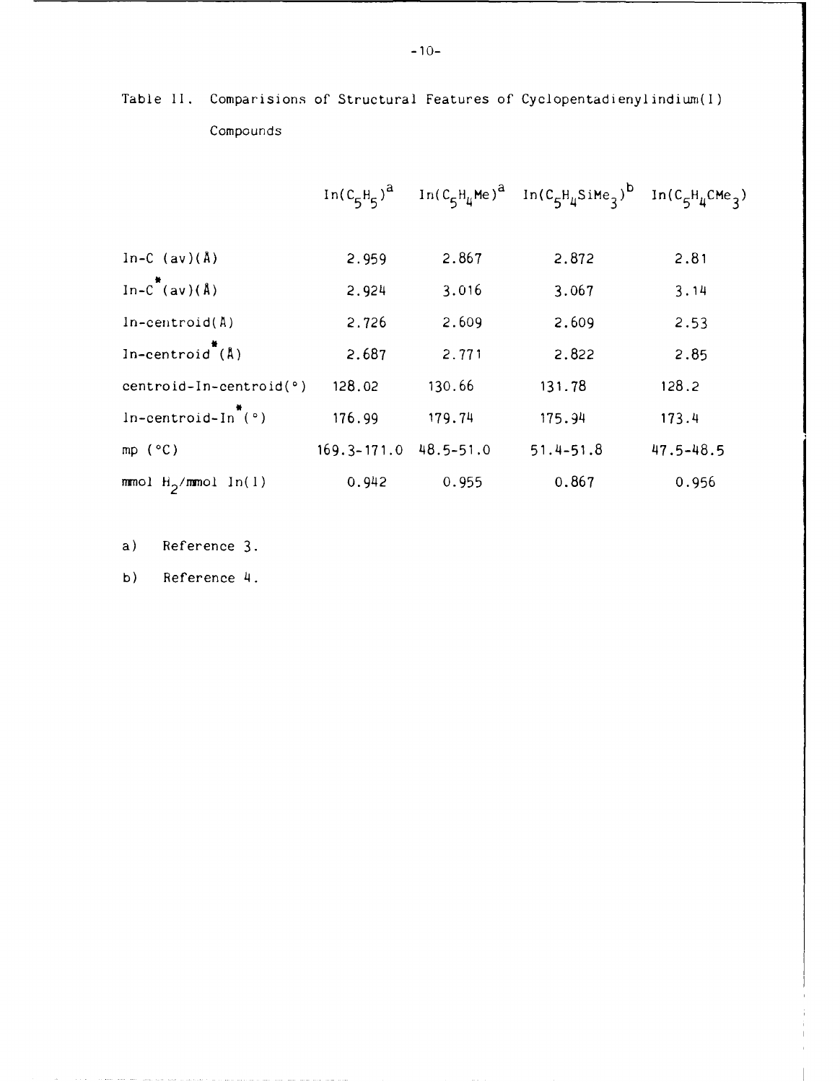| Table II. Comparisions of Structural Features of Cyclopentadienylindium(I) |
|----------------------------------------------------------------------------|
| Compounds                                                                  |
|                                                                            |

|                                  |                       |        | $\ln(C_5H_5)^a$ $\ln(C_5H_4Me)^a$ $\ln(C_5H_4S_1Me_3)^b$ $\ln(C_5H_4CMe_3)$ |               |  |
|----------------------------------|-----------------------|--------|-----------------------------------------------------------------------------|---------------|--|
|                                  |                       |        |                                                                             |               |  |
| In-C $(av)(A)$                   | 2.959                 | 2.867  | 2.872                                                                       | 2.81          |  |
| $In-C^*(av)(A)$                  | 2.924                 | 3.016  | 3.067                                                                       | 3.14          |  |
| $In-centroid(A)$                 | 2.726                 | 2.609  | 2.609                                                                       | 2.53          |  |
| In-centroid <sup>"</sup> (Å)     | 2.687                 | 2.771  | 2.822                                                                       | 2.85          |  |
| centroid-In-centroid $(°)$       | 128.02                | 130.66 | 131.78                                                                      | 128.2         |  |
| $ln$ -centroid-In <sup>(°)</sup> | 176.99                | 179.74 | 175.94                                                                      | 173.4         |  |
| mp (°C)                          | 169.3-171.0 48.5-51.0 |        | $51.4 - 51.8$                                                               | $47.5 - 48.5$ |  |
| mmol H <sub>0</sub> /mmol In(1)  | 0.942                 | 0.955  | 0.867                                                                       | 0.956         |  |

a) Reference **3.**

**b)** Reference 4.

-10-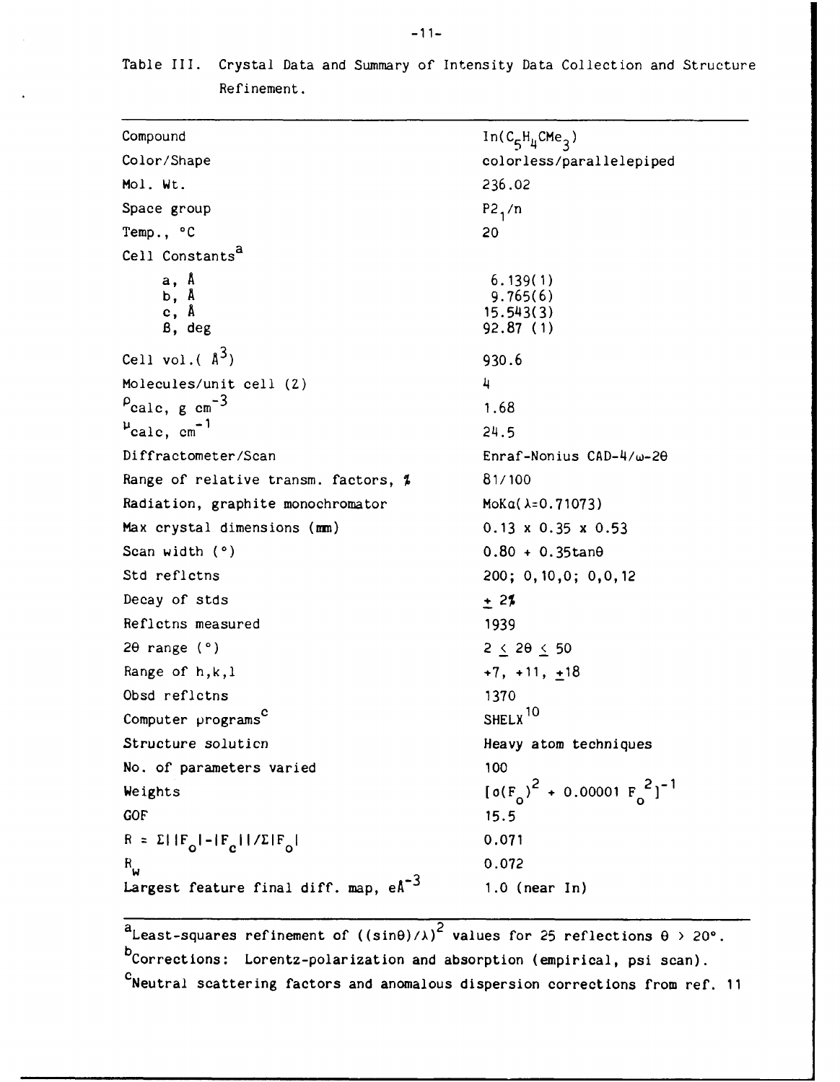| Compound                                          | $\ln(C_5H_4CMe_3)$                                            |
|---------------------------------------------------|---------------------------------------------------------------|
| Color/Shape                                       | colorless/parallelepiped                                      |
| Mol. Wt.                                          | 236.02                                                        |
| Space group                                       | P2, n                                                         |
| Temp., °C                                         | 20                                                            |
| Cell Constants <sup>a</sup>                       |                                                               |
| a, A<br>b, A<br>c, Å<br>B, deg                    | 6.139(1)<br>9.765(6)<br>15.543(3)<br>92.87(1)                 |
| Cell vol.( $A^5$ )                                | 930.6                                                         |
| Molecules/unit cell (2)                           | 4                                                             |
| <sup>p</sup> calc, g cm <sup>-3</sup>             | 1.68                                                          |
| $\mu_{\text{calc, cm}^{-1}}$                      | 24.5                                                          |
| Diffractometer/Scan                               | Enraf-Nonius $CAD-4/\omega-2\theta$                           |
| Range of relative transm. factors, %              | 81/100                                                        |
| Radiation, graphite monochromator                 | $MOKa(\lambda=0.71073)$                                       |
| Max crystal dimensions (mm)                       | $0.13 \times 0.35 \times 0.53$                                |
| Scan width (°)                                    | $0.80 + 0.35$ tan $\theta$                                    |
| Std reflctns                                      | 200; 0, 10, 0; 0, 0, 12                                       |
| Decay of stds                                     | $+22$                                                         |
| Refletns measured                                 | 1939                                                          |
| $2\theta$ range ( $\degree$ )                     | $2 \le 20 \le 50$                                             |
| Range of h,k,l                                    | $+7, +11, +18$                                                |
| Obsd reflotns                                     | 1370                                                          |
| Computer programs <sup>c</sup>                    | SHELX <sup>10</sup>                                           |
| Structure solution                                | Heavy atom techniques                                         |
| No. of parameters varied                          | 100                                                           |
| Weights                                           | $\left[\,\sigma(F_{0})^{2} + 0.00001 F_{0}^{2}\,\right]^{-1}$ |
| GOF                                               | 15.5                                                          |
| $R = \sum  F_0  -  F_0  /  \Sigma  F_0 $          | 0.071                                                         |
| $R_{\overline{M}}$                                | 0.072                                                         |
| Largest feature final diff. map, eA <sup>-3</sup> | $1.0$ (near In)                                               |
|                                                   |                                                               |

Table III. Crystal Data and Summary of Intensity Data Collection and Structure Refinement.

 $a$ <sub>Least-squares</sub> refinement of  $((sin\theta)/\lambda)^2$  values for 25 reflections  $\theta$  > 20°. b<sub>Corrections:</sub> Lorentz-polarization and absorption (empirical, psi scan). CNeutral scattering factors and anomalous dispersion corrections from ref. 11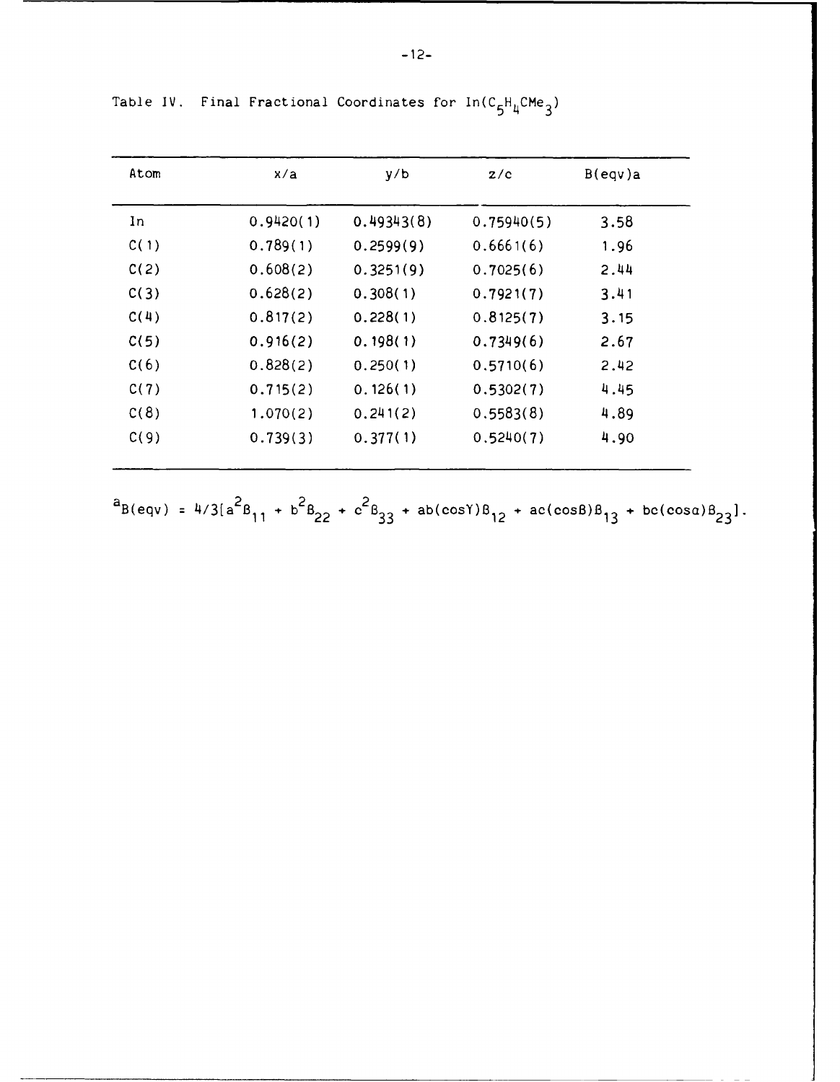| Atom | x/a       | y/b        | z/c        | $B$ (eqv)a |
|------|-----------|------------|------------|------------|
| In   | 0.9420(1) | 0.49343(8) | 0.75940(5) | 3.58       |
| C(1) | 0.789(1)  | 0.2599(9)  | 0.6661(6)  | 1.96       |
| C(2) | 0.608(2)  | 0.3251(9)  | 0.7025(6)  | 2.44       |
| C(3) | 0.628(2)  | 0.308(1)   | 0.7921(7)  | 3.41       |
| C(4) | 0.817(2)  | 0.228(1)   | 0.8125(7)  | 3.15       |
| C(5) | 0.916(2)  | 0.198(1)   | 0.7349(6)  | 2.67       |
| C(6) | 0.828(2)  | 0.250(1)   | 0.5710(6)  | 2.42       |
| C(7) | 0.715(2)  | 0.126(1)   | 0.5302(7)  | 4.45       |
| C(8) | 1.070(2)  | 0.241(2)   | 0.5583(8)  | 4.89       |
| C(9) | 0.739(3)  | 0.377(1)   | 0,5240(7)  | 4.90       |

Table IV. Final Fractional Coordinates for  $In(C_5H_4CMe_3)$ 

 ${}^{a}B(eqv) = 4/3[a^{2}B_{11} + b^{2}B_{22} + c^{2}B_{33} + ab(cosY)B_{12} + ac(cosB)B_{13} + bc(cosA)B_{23}].$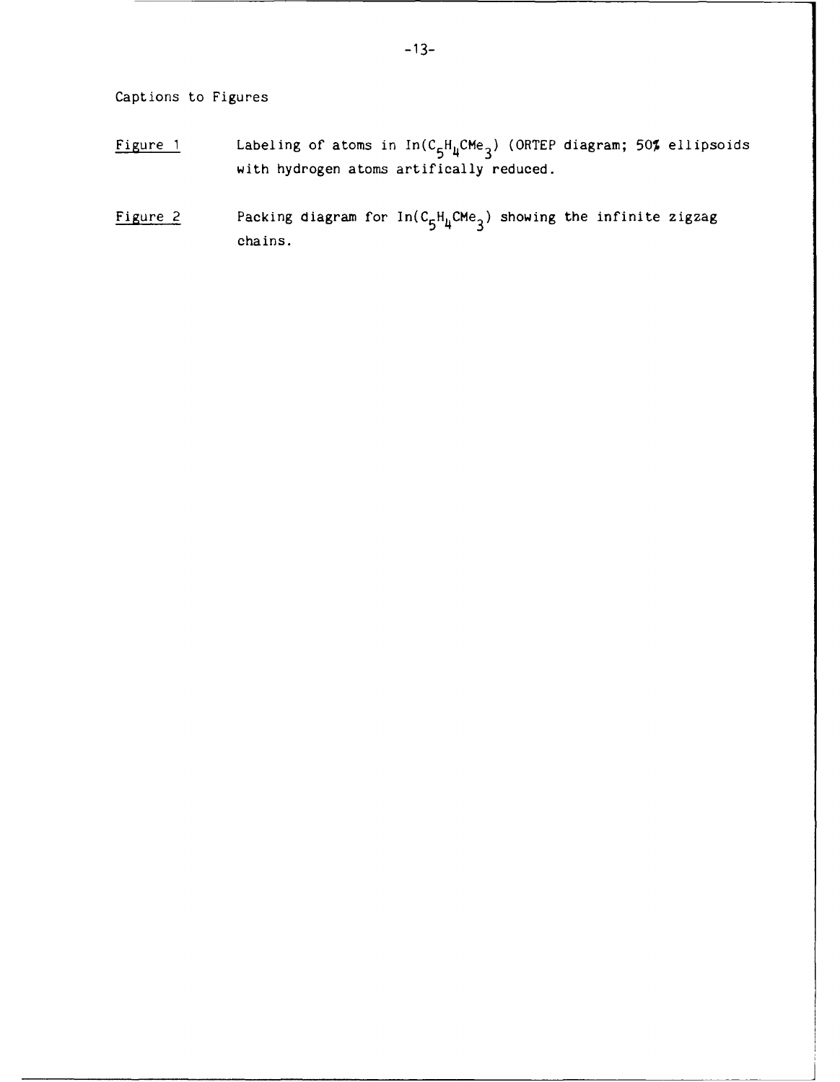Captions to Figures

- Figure 1 **Labeling of atoms in**  $In(C_5H_{\mu}CMe_3)$  **(ORTEP diagram; 50% ellipsoids** with hydrogen atoms artifically reduced.
- Figure 2 Packing diagram for  $In(C_5H_4CMe_3)$  showing the infinite zigzag chains.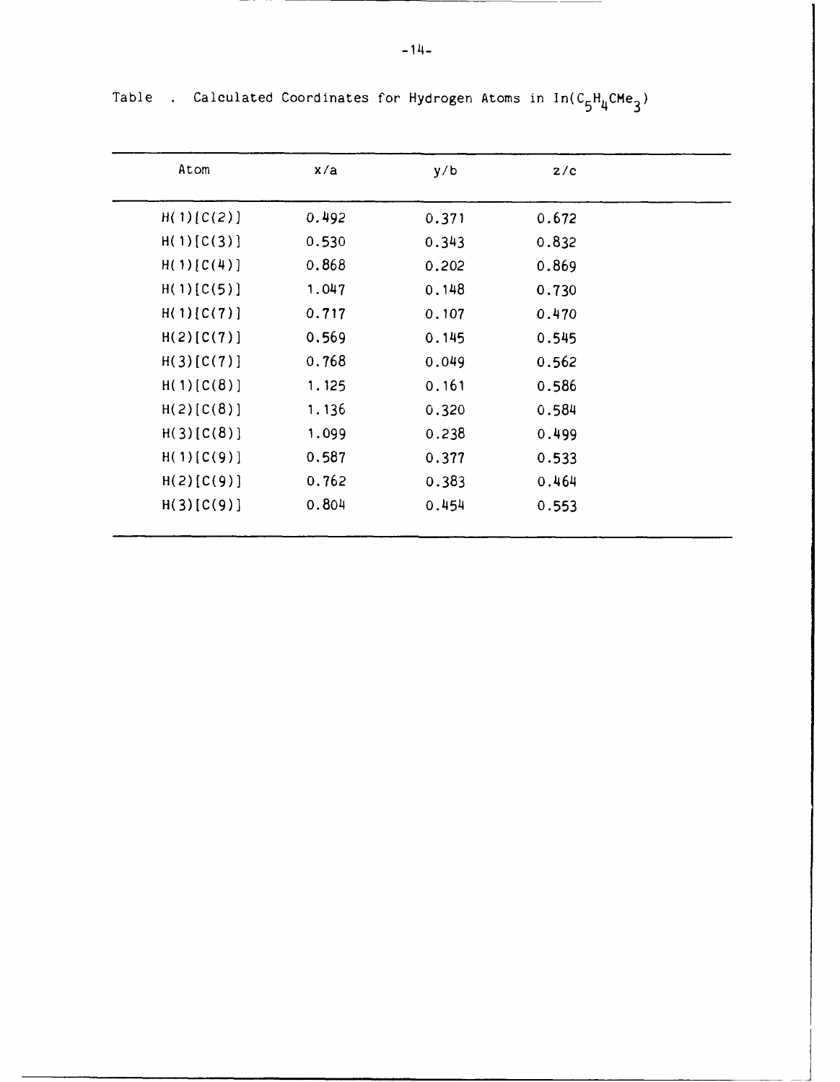| Atom          | x/a   | y/b   | 2/c   |  |
|---------------|-------|-------|-------|--|
| H(1)[C(2)]    | 0.492 | 0.371 | 0.672 |  |
| H(1) [C(3)]   | 0.530 | 0.343 | 0.832 |  |
| H(1)[C(4)]    | 0.868 | 0.202 | 0.869 |  |
| $H(1)$ [C(5)] | 1.047 | 0.148 | 0.730 |  |
| H(1)[C(7)]    | 0.717 | 0.107 | 0.470 |  |
| H(2) [C(7)]   | 0.569 | 0.145 | 0.545 |  |
| H(3)[C(7)]    | 0.768 | 0.049 | 0.562 |  |
| H(1)[C(8)]    | 1.125 | 0.161 | 0.586 |  |
| H(2) [C(8)]   | 1.136 | 0.320 | 0.584 |  |
| H(3)[C(8)]    | 1.099 | 0.238 | 0.499 |  |
| H(1)[C(9)]    | 0.587 | 0.377 | 0.533 |  |
| H(2) [C(9)]   | 0.762 | 0.383 | 0.464 |  |
| H(3)[C(9)]    | 0.804 | 0.454 | 0.553 |  |

Table **.** Calculated Coordinates for Hydrogen Atoms in  $In(C_5H_{\mu}CMe_3)$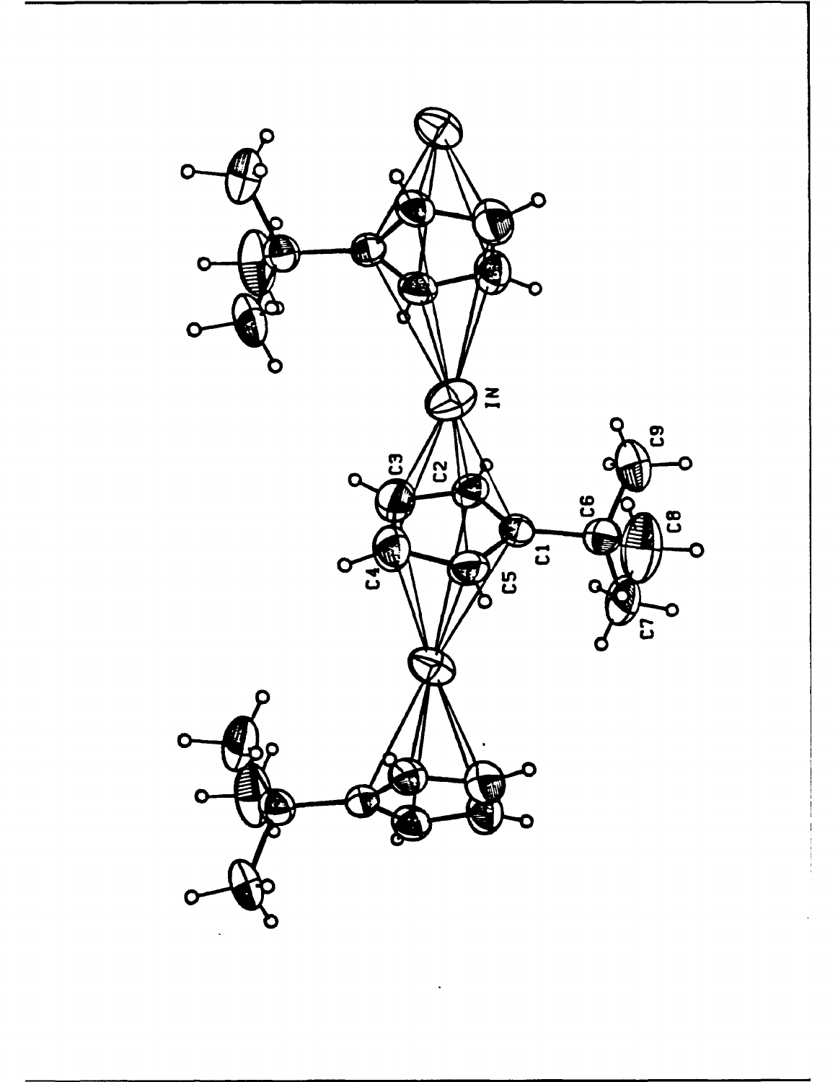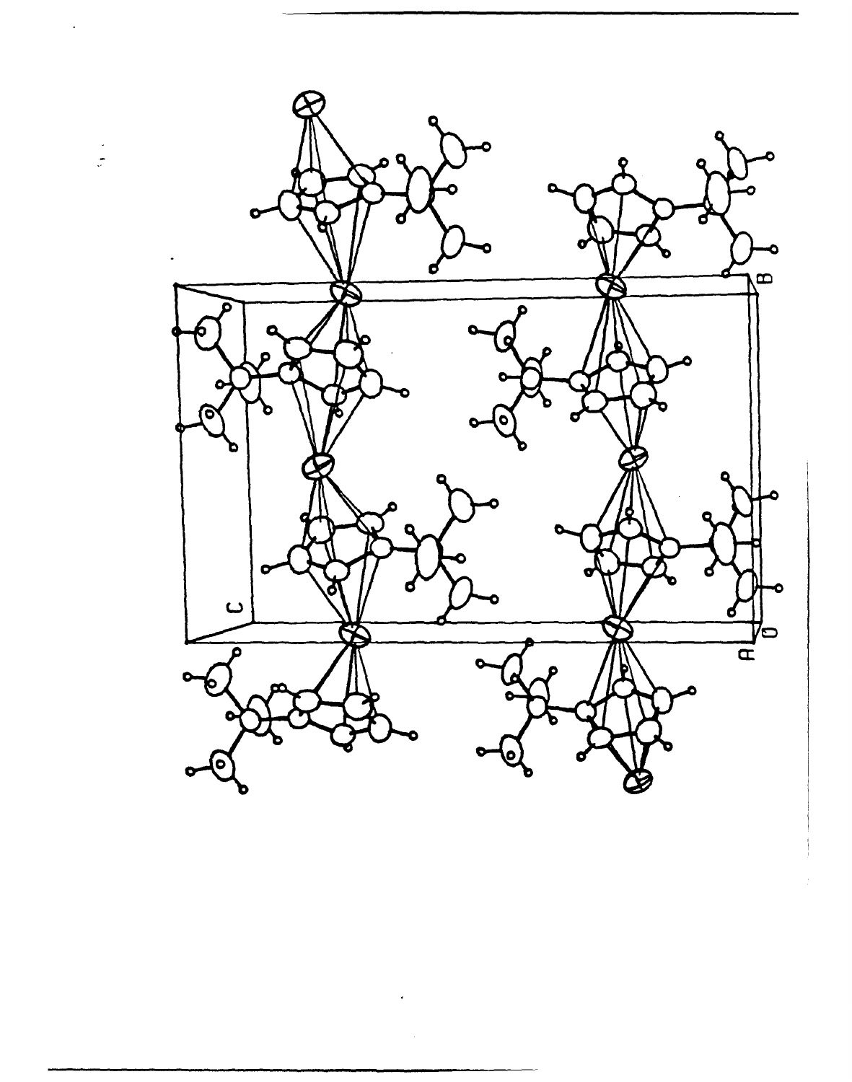